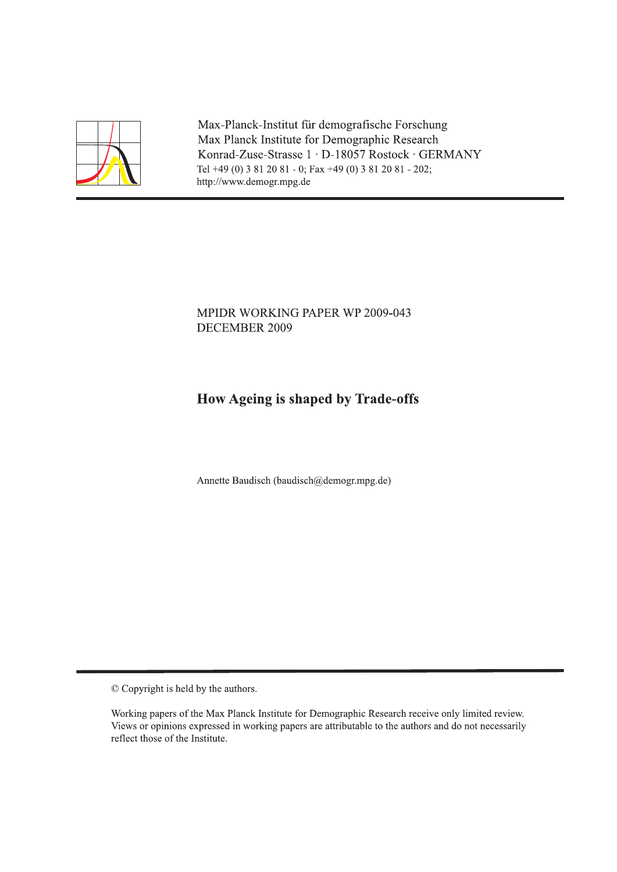

Max-Planck-Institut für demografische Forschung Max Planck Institute for Demographic Research Konrad-Zuse-Strasse 1 · D-18057 Rostock · GERMANY Tel +49 (0) 3 81 20 81 - 0; Fax +49 (0) 3 81 20 81 - 202; http://www.demogr.mpg.de

### MPIDR WORKING PAPER WP 2009-043 DECEMBER 2009

## How Ageing is shaped by Trade-offs

Annette Baudisch (baudisch@demogr.mpg.de)

© Copyright is held by the authors.

Working papers of the Max Planck Institute for Demographic Research receive only limited review. Views or opinions expressed in working papers are attributable to the authors and do not necessarily reflect those of the Institute.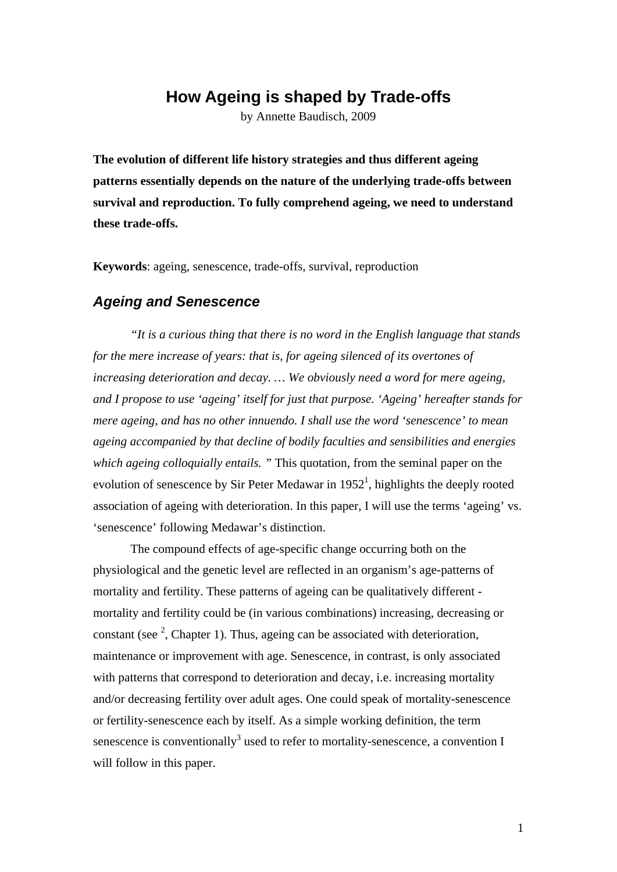# **How Ageing is shaped by Trade-offs**

by Annette Baudisch, 2009

**The evolution of different life history strategies and thus different ageing patterns essentially depends on the nature of the underlying trade-offs between survival and reproduction. To fully comprehend ageing, we need to understand these trade-offs.** 

**Keywords**: ageing, senescence, trade-offs, survival, reproduction

#### *Ageing and Senescence*

*"It is a curious thing that there is no word in the English language that stands for the mere increase of years: that is, for ageing silenced of its overtones of increasing deterioration and decay. … We obviously need a word for mere ageing, and I propose to use 'ageing' itself for just that purpose. 'Ageing' hereafter stands for mere ageing, and has no other innuendo. I shall use the word 'senescence' to mean ageing accompanied by that decline of bodily faculties and sensibilities and energies which ageing colloquially entails. "* This quotation, from the seminal paper on the evolution of senescence by Sir Peter Medawar in  $1952<sup>1</sup>$ , highlights the deeply rooted association of ageing with deterioration. In this paper, I will use the terms 'ageing' vs. 'senescence' following Medawar's distinction.

The compound effects of age-specific change occurring both on the physiological and the genetic level are reflected in an organism's age-patterns of mortality and fertility. These patterns of ageing can be qualitatively different mortality and fertility could be (in various combinations) increasing, decreasing or constant (see  $2$ , Chapter 1). Thus, ageing can be associated with deterioration, maintenance or improvement with age. Senescence, in contrast, is only associated with patterns that correspond to deterioration and decay, i.e. increasing mortality and/or decreasing fertility over adult ages. One could speak of mortality-senescence or fertility-senescence each by itself. As a simple working definition, the term senescence is conventionally<sup>3</sup> used to refer to mortality-senescence, a convention I will follow in this paper.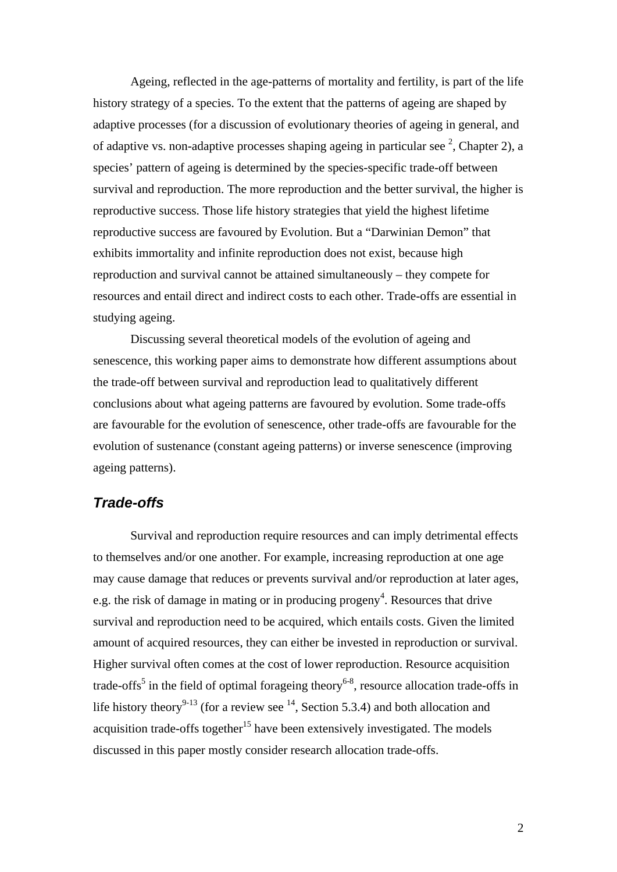Ageing, reflected in the age-patterns of mortality and fertility, is part of the life history strategy of a species. To the extent that the patterns of ageing are shaped by adaptive processes (for a discussion of evolutionary theories of ageing in general, and of adaptive vs. non-adaptive processes shaping ageing in particular see  $^2$ , Chapter 2), a species' pattern of ageing is determined by the species-specific trade-off between survival and reproduction. The more reproduction and the better survival, the higher is reproductive success. Those life history strategies that yield the highest lifetime reproductive success are favoured by Evolution. But a "Darwinian Demon" that exhibits immortality and infinite reproduction does not exist, because high reproduction and survival cannot be attained simultaneously – they compete for resources and entail direct and indirect costs to each other. Trade-offs are essential in studying ageing.

Discussing several theoretical models of the evolution of ageing and senescence, this working paper aims to demonstrate how different assumptions about the trade-off between survival and reproduction lead to qualitatively different conclusions about what ageing patterns are favoured by evolution. Some trade-offs are favourable for the evolution of senescence, other trade-offs are favourable for the evolution of sustenance (constant ageing patterns) or inverse senescence (improving ageing patterns).

### *Trade-offs*

Survival and reproduction require resources and can imply detrimental effects to themselves and/or one another. For example, increasing reproduction at one age may cause damage that reduces or prevents survival and/or reproduction at later ages, e.g. the risk of damage in mating or in producing progeny<sup>4</sup>. Resources that drive survival and reproduction need to be acquired, which entails costs. Given the limited amount of acquired resources, they can either be invested in reproduction or survival. Higher survival often comes at the cost of lower reproduction. Resource acquisition trade-offs<sup>5</sup> in the field of optimal forageing theory<sup>6-8</sup>, resource allocation trade-offs in life history theory<sup>9-13</sup> (for a review see  $^{14}$ , Section 5.3.4) and both allocation and acquisition trade-offs together<sup>15</sup> have been extensively investigated. The models discussed in this paper mostly consider research allocation trade-offs.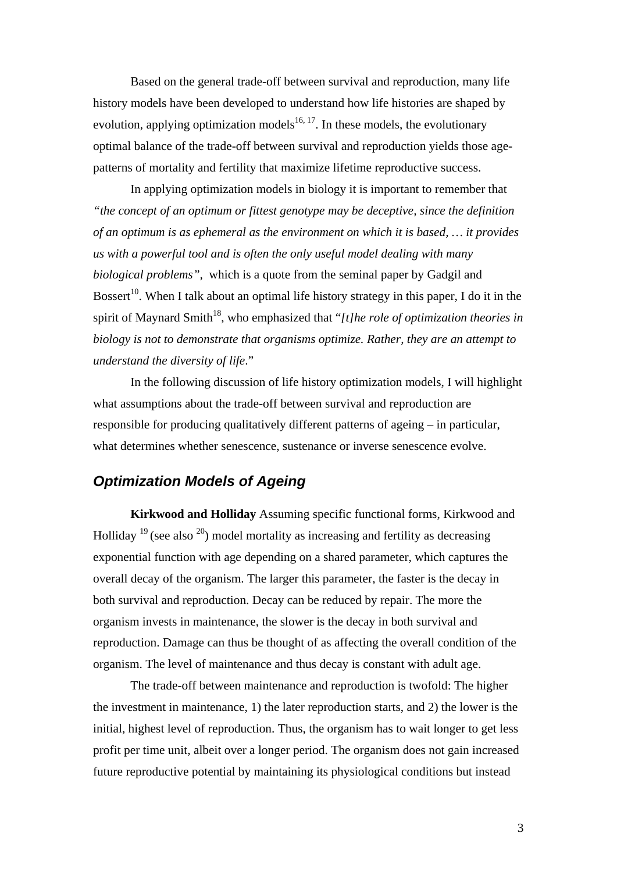Based on the general trade-off between survival and reproduction, many life history models have been developed to understand how life histories are shaped by evolution, applying optimization models<sup>16, 17</sup>. In these models, the evolutionary optimal balance of the trade-off between survival and reproduction yields those agepatterns of mortality and fertility that maximize lifetime reproductive success.

In applying optimization models in biology it is important to remember that *"the concept of an optimum or fittest genotype may be deceptive, since the definition of an optimum is as ephemeral as the environment on which it is based, … it provides us with a powerful tool and is often the only useful model dealing with many biological problems",* which is a quote from the seminal paper by Gadgil and Bossert<sup>10</sup>. When I talk about an optimal life history strategy in this paper, I do it in the spirit of Maynard Smith<sup>18</sup>, who emphasized that " $[t]$ *he role of optimization theories in biology is not to demonstrate that organisms optimize. Rather, they are an attempt to understand the diversity of life*."

In the following discussion of life history optimization models, I will highlight what assumptions about the trade-off between survival and reproduction are responsible for producing qualitatively different patterns of ageing – in particular, what determines whether senescence, sustenance or inverse senescence evolve.

## *Optimization Models of Ageing*

 **Kirkwood and Holliday** Assuming specific functional forms, Kirkwood and Holliday  $19$  (see also  $20$ ) model mortality as increasing and fertility as decreasing exponential function with age depending on a shared parameter, which captures the overall decay of the organism. The larger this parameter, the faster is the decay in both survival and reproduction. Decay can be reduced by repair. The more the organism invests in maintenance, the slower is the decay in both survival and reproduction. Damage can thus be thought of as affecting the overall condition of the organism. The level of maintenance and thus decay is constant with adult age.

 The trade-off between maintenance and reproduction is twofold: The higher the investment in maintenance, 1) the later reproduction starts, and 2) the lower is the initial, highest level of reproduction. Thus, the organism has to wait longer to get less profit per time unit, albeit over a longer period. The organism does not gain increased future reproductive potential by maintaining its physiological conditions but instead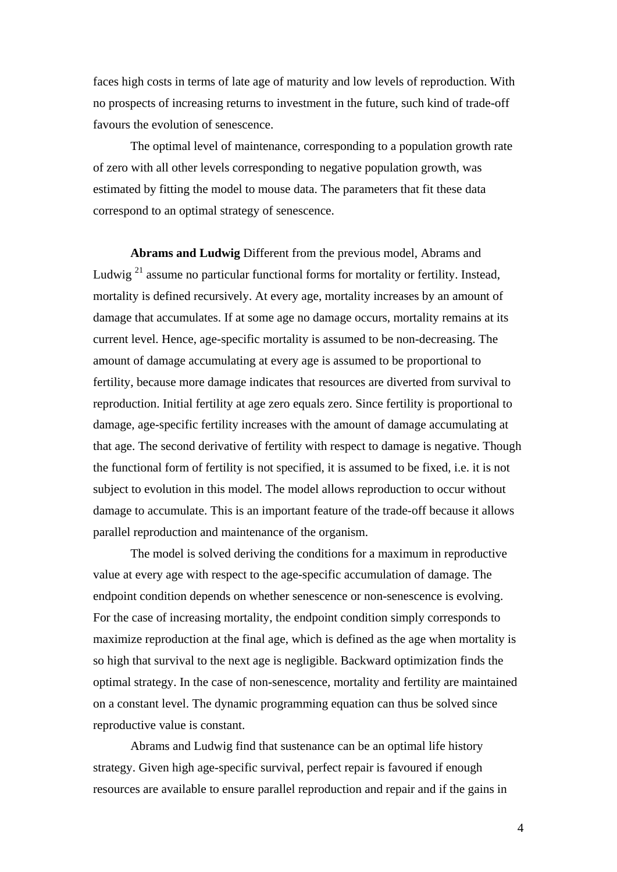faces high costs in terms of late age of maturity and low levels of reproduction. With no prospects of increasing returns to investment in the future, such kind of trade-off favours the evolution of senescence.

 The optimal level of maintenance, corresponding to a population growth rate of zero with all other levels corresponding to negative population growth, was estimated by fitting the model to mouse data. The parameters that fit these data correspond to an optimal strategy of senescence.

 **Abrams and Ludwig** Different from the previous model, Abrams and Ludwig<sup>21</sup> assume no particular functional forms for mortality or fertility. Instead, mortality is defined recursively. At every age, mortality increases by an amount of damage that accumulates. If at some age no damage occurs, mortality remains at its current level. Hence, age-specific mortality is assumed to be non-decreasing. The amount of damage accumulating at every age is assumed to be proportional to fertility, because more damage indicates that resources are diverted from survival to reproduction. Initial fertility at age zero equals zero. Since fertility is proportional to damage, age-specific fertility increases with the amount of damage accumulating at that age. The second derivative of fertility with respect to damage is negative. Though the functional form of fertility is not specified, it is assumed to be fixed, i.e. it is not subject to evolution in this model. The model allows reproduction to occur without damage to accumulate. This is an important feature of the trade-off because it allows parallel reproduction and maintenance of the organism.

 The model is solved deriving the conditions for a maximum in reproductive value at every age with respect to the age-specific accumulation of damage. The endpoint condition depends on whether senescence or non-senescence is evolving. For the case of increasing mortality, the endpoint condition simply corresponds to maximize reproduction at the final age, which is defined as the age when mortality is so high that survival to the next age is negligible. Backward optimization finds the optimal strategy. In the case of non-senescence, mortality and fertility are maintained on a constant level. The dynamic programming equation can thus be solved since reproductive value is constant.

 Abrams and Ludwig find that sustenance can be an optimal life history strategy. Given high age-specific survival, perfect repair is favoured if enough resources are available to ensure parallel reproduction and repair and if the gains in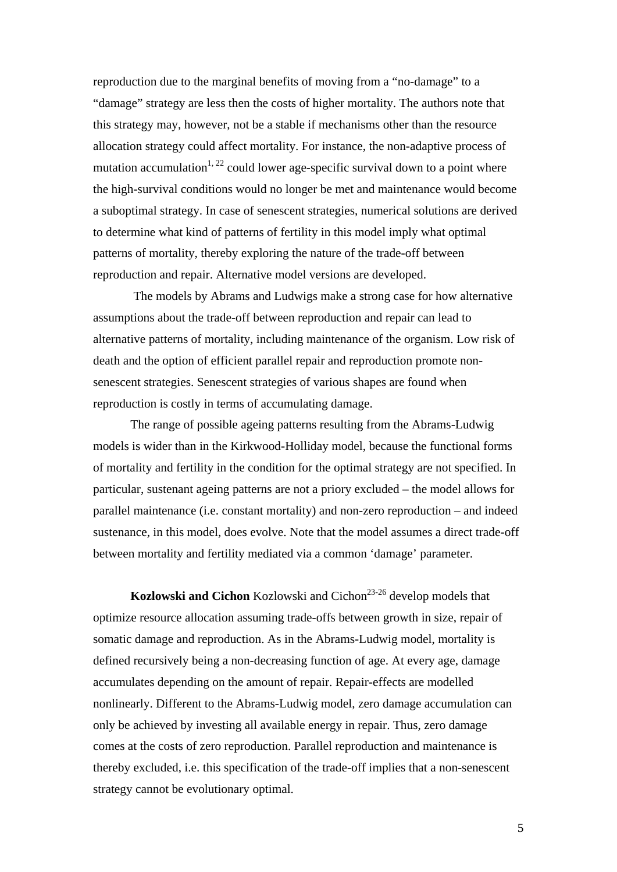reproduction due to the marginal benefits of moving from a "no-damage" to a "damage" strategy are less then the costs of higher mortality. The authors note that this strategy may, however, not be a stable if mechanisms other than the resource allocation strategy could affect mortality. For instance, the non-adaptive process of mutation accumulation<sup>1, 22</sup> could lower age-specific survival down to a point where the high-survival conditions would no longer be met and maintenance would become a suboptimal strategy. In case of senescent strategies, numerical solutions are derived to determine what kind of patterns of fertility in this model imply what optimal patterns of mortality, thereby exploring the nature of the trade-off between reproduction and repair. Alternative model versions are developed.

 The models by Abrams and Ludwigs make a strong case for how alternative assumptions about the trade-off between reproduction and repair can lead to alternative patterns of mortality, including maintenance of the organism. Low risk of death and the option of efficient parallel repair and reproduction promote nonsenescent strategies. Senescent strategies of various shapes are found when reproduction is costly in terms of accumulating damage.

 The range of possible ageing patterns resulting from the Abrams-Ludwig models is wider than in the Kirkwood-Holliday model, because the functional forms of mortality and fertility in the condition for the optimal strategy are not specified. In particular, sustenant ageing patterns are not a priory excluded – the model allows for parallel maintenance (i.e. constant mortality) and non-zero reproduction – and indeed sustenance, in this model, does evolve. Note that the model assumes a direct trade-off between mortality and fertility mediated via a common 'damage' parameter.

**Kozlowski and Cichon** Kozlowski and Cichon<sup>23-26</sup> develop models that optimize resource allocation assuming trade-offs between growth in size, repair of somatic damage and reproduction. As in the Abrams-Ludwig model, mortality is defined recursively being a non-decreasing function of age. At every age, damage accumulates depending on the amount of repair. Repair-effects are modelled nonlinearly. Different to the Abrams-Ludwig model, zero damage accumulation can only be achieved by investing all available energy in repair. Thus, zero damage comes at the costs of zero reproduction. Parallel reproduction and maintenance is thereby excluded, i.e. this specification of the trade-off implies that a non-senescent strategy cannot be evolutionary optimal.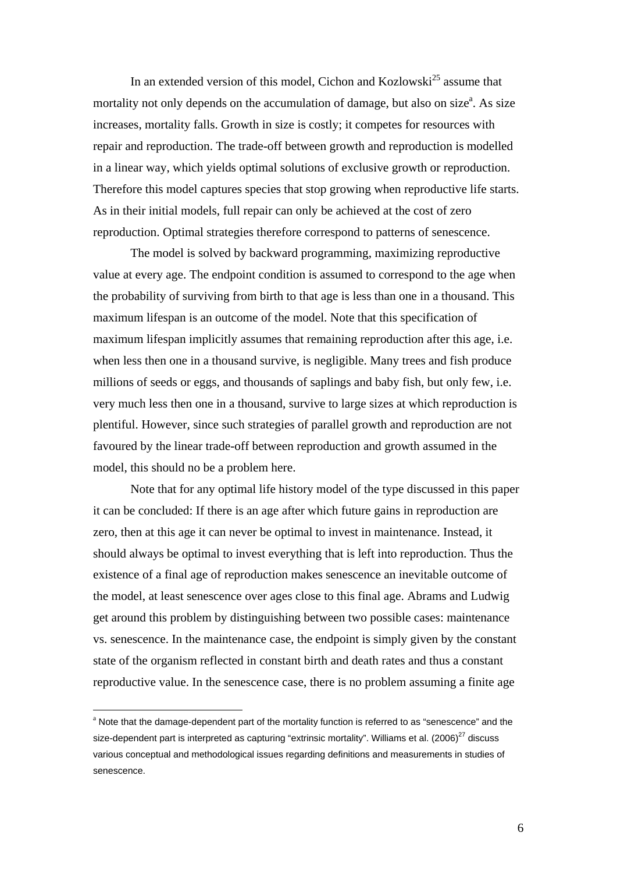In an extended version of this model, Cichon and Kozlowski<sup>25</sup> assume that mortality not only depends on the accumulation of damage, but also on size<sup>a</sup>. As size increases, mortality falls. Growth in size is costly; it competes for resources with repair and reproduction. The trade-off between growth and reproduction is modelled in a linear way, which yields optimal solutions of exclusive growth or reproduction. Therefore this model captures species that stop growing when reproductive life starts. As in their initial models, full repair can only be achieved at the cost of zero reproduction. Optimal strategies therefore correspond to patterns of senescence.

 The model is solved by backward programming, maximizing reproductive value at every age. The endpoint condition is assumed to correspond to the age when the probability of surviving from birth to that age is less than one in a thousand. This maximum lifespan is an outcome of the model. Note that this specification of maximum lifespan implicitly assumes that remaining reproduction after this age, i.e. when less then one in a thousand survive, is negligible. Many trees and fish produce millions of seeds or eggs, and thousands of saplings and baby fish, but only few, i.e. very much less then one in a thousand, survive to large sizes at which reproduction is plentiful. However, since such strategies of parallel growth and reproduction are not favoured by the linear trade-off between reproduction and growth assumed in the model, this should no be a problem here.

 Note that for any optimal life history model of the type discussed in this paper it can be concluded: If there is an age after which future gains in reproduction are zero, then at this age it can never be optimal to invest in maintenance. Instead, it should always be optimal to invest everything that is left into reproduction. Thus the existence of a final age of reproduction makes senescence an inevitable outcome of the model, at least senescence over ages close to this final age. Abrams and Ludwig get around this problem by distinguishing between two possible cases: maintenance vs. senescence. In the maintenance case, the endpoint is simply given by the constant state of the organism reflected in constant birth and death rates and thus a constant reproductive value. In the senescence case, there is no problem assuming a finite age

 $\overline{a}$ 

<sup>&</sup>lt;sup>a</sup> Note that the damage-dependent part of the mortality function is referred to as "senescence" and the size-dependent part is interpreted as capturing "extrinsic mortality". Williams et al. (2006) $^{27}$  discuss various conceptual and methodological issues regarding definitions and measurements in studies of senescence.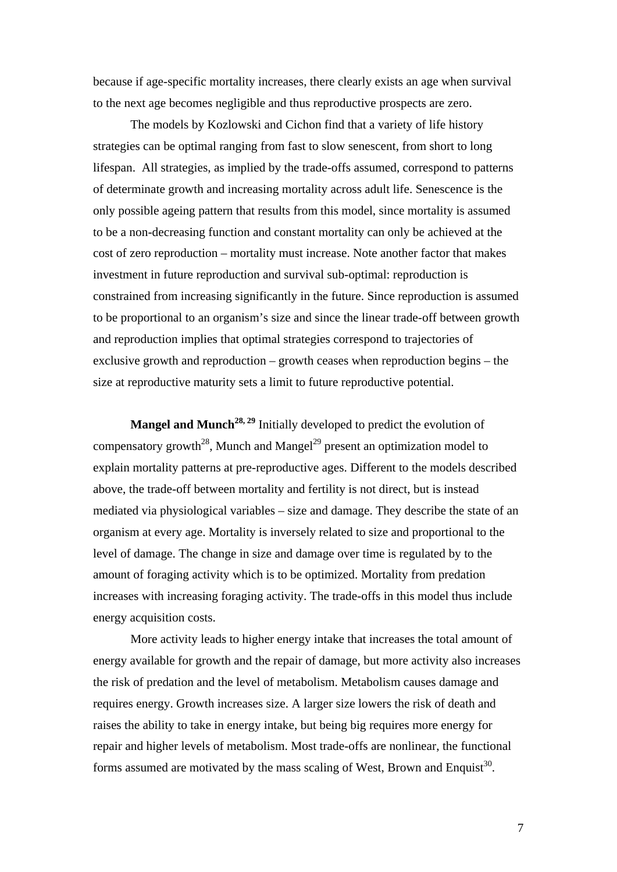because if age-specific mortality increases, there clearly exists an age when survival to the next age becomes negligible and thus reproductive prospects are zero.

 The models by Kozlowski and Cichon find that a variety of life history strategies can be optimal ranging from fast to slow senescent, from short to long lifespan. All strategies, as implied by the trade-offs assumed, correspond to patterns of determinate growth and increasing mortality across adult life. Senescence is the only possible ageing pattern that results from this model, since mortality is assumed to be a non-decreasing function and constant mortality can only be achieved at the cost of zero reproduction – mortality must increase. Note another factor that makes investment in future reproduction and survival sub-optimal: reproduction is constrained from increasing significantly in the future. Since reproduction is assumed to be proportional to an organism's size and since the linear trade-off between growth and reproduction implies that optimal strategies correspond to trajectories of exclusive growth and reproduction – growth ceases when reproduction begins – the size at reproductive maturity sets a limit to future reproductive potential.

**Mangel and Munch<sup>28, 29</sup>** Initially developed to predict the evolution of compensatory growth<sup>28</sup>, Munch and Mangel<sup>29</sup> present an optimization model to explain mortality patterns at pre-reproductive ages. Different to the models described above, the trade-off between mortality and fertility is not direct, but is instead mediated via physiological variables – size and damage. They describe the state of an organism at every age. Mortality is inversely related to size and proportional to the level of damage. The change in size and damage over time is regulated by to the amount of foraging activity which is to be optimized. Mortality from predation increases with increasing foraging activity. The trade-offs in this model thus include energy acquisition costs.

 More activity leads to higher energy intake that increases the total amount of energy available for growth and the repair of damage, but more activity also increases the risk of predation and the level of metabolism. Metabolism causes damage and requires energy. Growth increases size. A larger size lowers the risk of death and raises the ability to take in energy intake, but being big requires more energy for repair and higher levels of metabolism. Most trade-offs are nonlinear, the functional forms assumed are motivated by the mass scaling of West, Brown and Enquist<sup>30</sup>.

7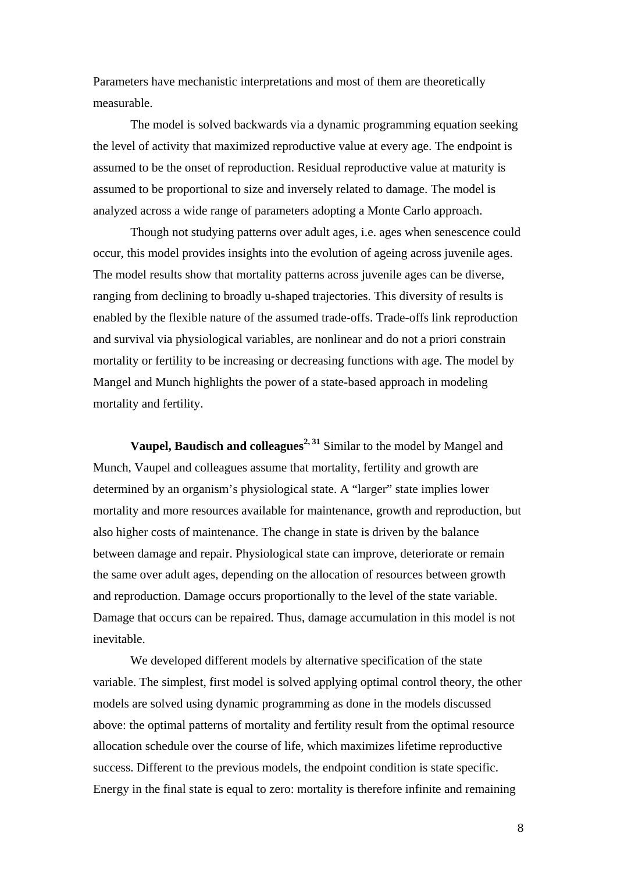Parameters have mechanistic interpretations and most of them are theoretically measurable.

 The model is solved backwards via a dynamic programming equation seeking the level of activity that maximized reproductive value at every age. The endpoint is assumed to be the onset of reproduction. Residual reproductive value at maturity is assumed to be proportional to size and inversely related to damage. The model is analyzed across a wide range of parameters adopting a Monte Carlo approach.

 Though not studying patterns over adult ages, i.e. ages when senescence could occur, this model provides insights into the evolution of ageing across juvenile ages. The model results show that mortality patterns across juvenile ages can be diverse, ranging from declining to broadly u-shaped trajectories. This diversity of results is enabled by the flexible nature of the assumed trade-offs. Trade-offs link reproduction and survival via physiological variables, are nonlinear and do not a priori constrain mortality or fertility to be increasing or decreasing functions with age. The model by Mangel and Munch highlights the power of a state-based approach in modeling mortality and fertility.

 **Vaupel, Baudisch and colleagues2, 31** Similar to the model by Mangel and Munch, Vaupel and colleagues assume that mortality, fertility and growth are determined by an organism's physiological state. A "larger" state implies lower mortality and more resources available for maintenance, growth and reproduction, but also higher costs of maintenance. The change in state is driven by the balance between damage and repair. Physiological state can improve, deteriorate or remain the same over adult ages, depending on the allocation of resources between growth and reproduction. Damage occurs proportionally to the level of the state variable. Damage that occurs can be repaired. Thus, damage accumulation in this model is not inevitable.

 We developed different models by alternative specification of the state variable. The simplest, first model is solved applying optimal control theory, the other models are solved using dynamic programming as done in the models discussed above: the optimal patterns of mortality and fertility result from the optimal resource allocation schedule over the course of life, which maximizes lifetime reproductive success. Different to the previous models, the endpoint condition is state specific. Energy in the final state is equal to zero: mortality is therefore infinite and remaining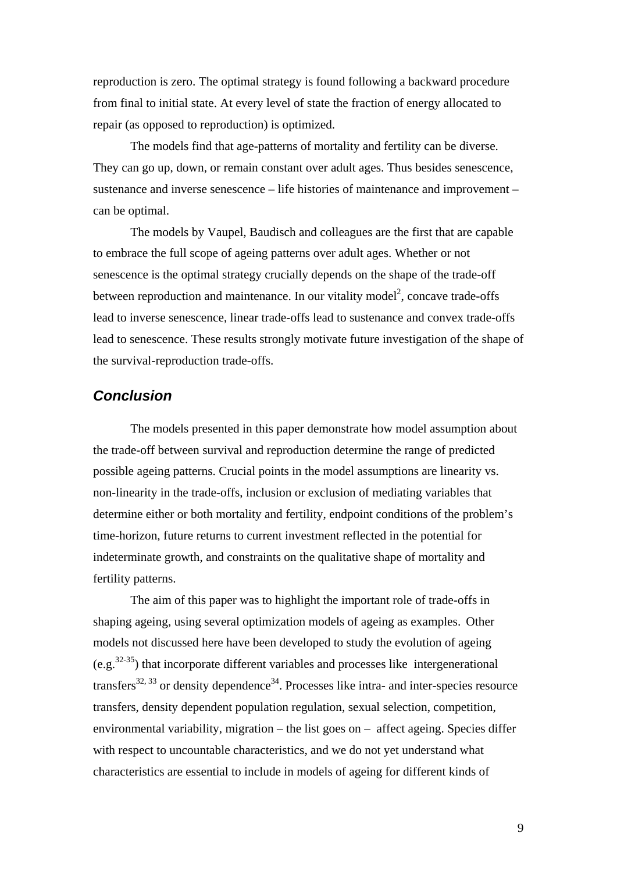reproduction is zero. The optimal strategy is found following a backward procedure from final to initial state. At every level of state the fraction of energy allocated to repair (as opposed to reproduction) is optimized.

 The models find that age-patterns of mortality and fertility can be diverse. They can go up, down, or remain constant over adult ages. Thus besides senescence, sustenance and inverse senescence – life histories of maintenance and improvement – can be optimal.

 The models by Vaupel, Baudisch and colleagues are the first that are capable to embrace the full scope of ageing patterns over adult ages. Whether or not senescence is the optimal strategy crucially depends on the shape of the trade-off between reproduction and maintenance. In our vitality model<sup>2</sup>, concave trade-offs lead to inverse senescence, linear trade-offs lead to sustenance and convex trade-offs lead to senescence. These results strongly motivate future investigation of the shape of the survival-reproduction trade-offs.

### *Conclusion*

 The models presented in this paper demonstrate how model assumption about the trade-off between survival and reproduction determine the range of predicted possible ageing patterns. Crucial points in the model assumptions are linearity vs. non-linearity in the trade-offs, inclusion or exclusion of mediating variables that determine either or both mortality and fertility, endpoint conditions of the problem's time-horizon, future returns to current investment reflected in the potential for indeterminate growth, and constraints on the qualitative shape of mortality and fertility patterns.

 The aim of this paper was to highlight the important role of trade-offs in shaping ageing, using several optimization models of ageing as examples. Other models not discussed here have been developed to study the evolution of ageing  $(e.g.,<sup>32-35</sup>)$  that incorporate different variables and processes like intergenerational transfers<sup>32, 33</sup> or density dependence<sup>34</sup>. Processes like intra- and inter-species resource transfers, density dependent population regulation, sexual selection, competition, environmental variability, migration – the list goes on – affect ageing. Species differ with respect to uncountable characteristics, and we do not yet understand what characteristics are essential to include in models of ageing for different kinds of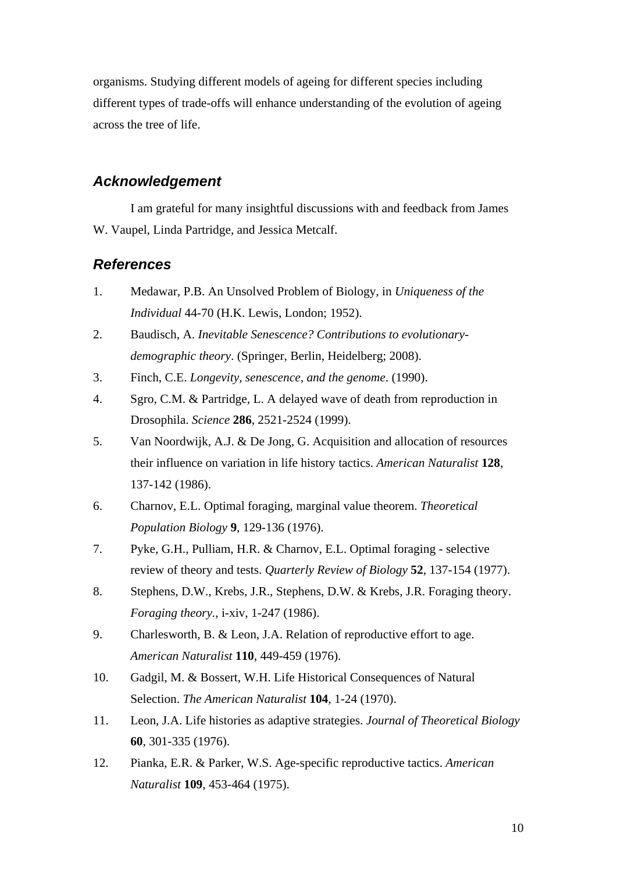organisms. Studying different models of ageing for different species including different types of trade-offs will enhance understanding of the evolution of ageing across the tree of life.

### *Acknowledgement*

I am grateful for many insightful discussions with and feedback from James W. Vaupel, Linda Partridge, and Jessica Metcalf.

#### *References*

- 1. Medawar, P.B. An Unsolved Problem of Biology, in *Uniqueness of the Individual* 44-70 (H.K. Lewis, London; 1952).
- 2. Baudisch, A. *Inevitable Senescence? Contributions to evolutionarydemographic theory*. (Springer, Berlin, Heidelberg; 2008).
- 3. Finch, C.E. *Longevity, senescence, and the genome*. (1990).
- 4. Sgro, C.M. & Partridge, L. A delayed wave of death from reproduction in Drosophila. *Science* **286**, 2521-2524 (1999).
- 5. Van Noordwijk, A.J. & De Jong, G. Acquisition and allocation of resources their influence on variation in life history tactics. *American Naturalist* **128**, 137-142 (1986).
- 6. Charnov, E.L. Optimal foraging, marginal value theorem. *Theoretical Population Biology* **9**, 129-136 (1976).
- 7. Pyke, G.H., Pulliam, H.R. & Charnov, E.L. Optimal foraging selective review of theory and tests. *Quarterly Review of Biology* **52**, 137-154 (1977).
- 8. Stephens, D.W., Krebs, J.R., Stephens, D.W. & Krebs, J.R. Foraging theory. *Foraging theory.*, i-xiv, 1-247 (1986).
- 9. Charlesworth, B. & Leon, J.A. Relation of reproductive effort to age. *American Naturalist* **110**, 449-459 (1976).
- 10. Gadgil, M. & Bossert, W.H. Life Historical Consequences of Natural Selection. *The American Naturalist* **104**, 1-24 (1970).
- 11. Leon, J.A. Life histories as adaptive strategies. *Journal of Theoretical Biology* **60**, 301-335 (1976).
- 12. Pianka, E.R. & Parker, W.S. Age-specific reproductive tactics. *American Naturalist* **109**, 453-464 (1975).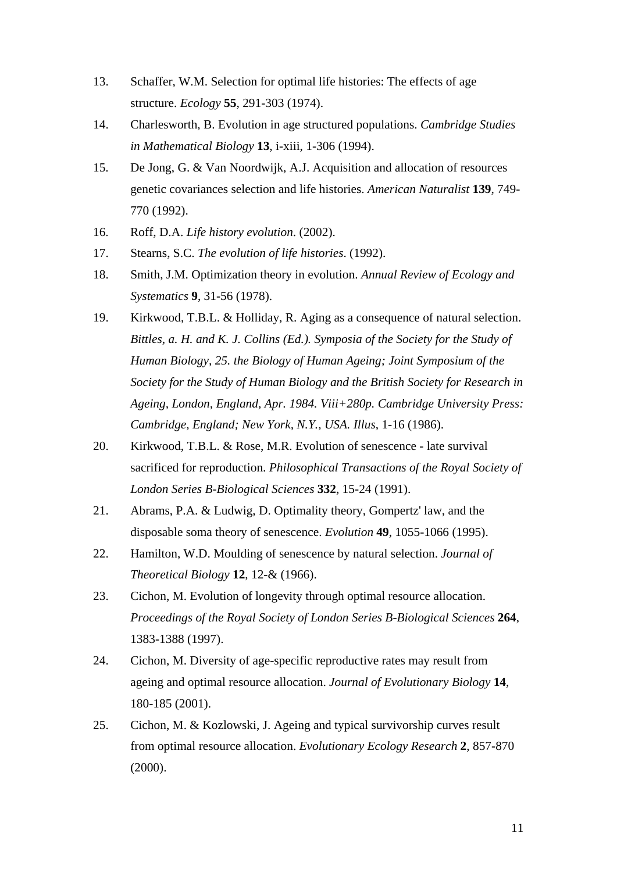- 13. Schaffer, W.M. Selection for optimal life histories: The effects of age structure. *Ecology* **55**, 291-303 (1974).
- 14. Charlesworth, B. Evolution in age structured populations. *Cambridge Studies in Mathematical Biology* **13**, i-xiii, 1-306 (1994).
- 15. De Jong, G. & Van Noordwijk, A.J. Acquisition and allocation of resources genetic covariances selection and life histories. *American Naturalist* **139**, 749- 770 (1992).
- 16. Roff, D.A. *Life history evolution*. (2002).
- 17. Stearns, S.C. *The evolution of life histories*. (1992).
- 18. Smith, J.M. Optimization theory in evolution. *Annual Review of Ecology and Systematics* **9**, 31-56 (1978).
- 19. Kirkwood, T.B.L. & Holliday, R. Aging as a consequence of natural selection. *Bittles, a. H. and K. J. Collins (Ed.). Symposia of the Society for the Study of Human Biology, 25. the Biology of Human Ageing; Joint Symposium of the Society for the Study of Human Biology and the British Society for Research in Ageing, London, England, Apr. 1984. Viii+280p. Cambridge University Press: Cambridge, England; New York, N.Y., USA. Illus*, 1-16 (1986).
- 20. Kirkwood, T.B.L. & Rose, M.R. Evolution of senescence late survival sacrificed for reproduction. *Philosophical Transactions of the Royal Society of London Series B-Biological Sciences* **332**, 15-24 (1991).
- 21. Abrams, P.A. & Ludwig, D. Optimality theory, Gompertz' law, and the disposable soma theory of senescence. *Evolution* **49**, 1055-1066 (1995).
- 22. Hamilton, W.D. Moulding of senescence by natural selection. *Journal of Theoretical Biology* **12**, 12-& (1966).
- 23. Cichon, M. Evolution of longevity through optimal resource allocation. *Proceedings of the Royal Society of London Series B-Biological Sciences* **264**, 1383-1388 (1997).
- 24. Cichon, M. Diversity of age-specific reproductive rates may result from ageing and optimal resource allocation. *Journal of Evolutionary Biology* **14**, 180-185 (2001).
- 25. Cichon, M. & Kozlowski, J. Ageing and typical survivorship curves result from optimal resource allocation. *Evolutionary Ecology Research* **2**, 857-870 (2000).